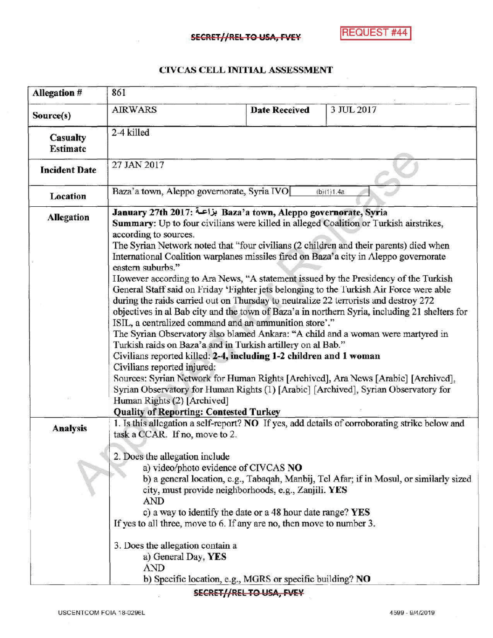## SECRET//RELTO USA, FVEY

## CIVCAS CELL INITIAL ASSESSMENT

| 861                                                                                                                                                                                                                                                                                                                                                                                                                                                                                                                                                                                                                                                                                                                                                                                                                                                                                                                                                                                                                                                                                                                                                                                                                                                                                                 |                      |                                                                                                                                                                                                                                                                                                                                                                                                                                                                                                                                               |
|-----------------------------------------------------------------------------------------------------------------------------------------------------------------------------------------------------------------------------------------------------------------------------------------------------------------------------------------------------------------------------------------------------------------------------------------------------------------------------------------------------------------------------------------------------------------------------------------------------------------------------------------------------------------------------------------------------------------------------------------------------------------------------------------------------------------------------------------------------------------------------------------------------------------------------------------------------------------------------------------------------------------------------------------------------------------------------------------------------------------------------------------------------------------------------------------------------------------------------------------------------------------------------------------------------|----------------------|-----------------------------------------------------------------------------------------------------------------------------------------------------------------------------------------------------------------------------------------------------------------------------------------------------------------------------------------------------------------------------------------------------------------------------------------------------------------------------------------------------------------------------------------------|
| <b>AIRWARS</b>                                                                                                                                                                                                                                                                                                                                                                                                                                                                                                                                                                                                                                                                                                                                                                                                                                                                                                                                                                                                                                                                                                                                                                                                                                                                                      | <b>Date Received</b> | 3 JUL 2017                                                                                                                                                                                                                                                                                                                                                                                                                                                                                                                                    |
| 2-4 killed                                                                                                                                                                                                                                                                                                                                                                                                                                                                                                                                                                                                                                                                                                                                                                                                                                                                                                                                                                                                                                                                                                                                                                                                                                                                                          |                      |                                                                                                                                                                                                                                                                                                                                                                                                                                                                                                                                               |
| 27 JAN 2017                                                                                                                                                                                                                                                                                                                                                                                                                                                                                                                                                                                                                                                                                                                                                                                                                                                                                                                                                                                                                                                                                                                                                                                                                                                                                         |                      |                                                                                                                                                                                                                                                                                                                                                                                                                                                                                                                                               |
| Baza'a town, Aleppo governorate, Syria IVO<br>(b)(1)1.4a                                                                                                                                                                                                                                                                                                                                                                                                                                                                                                                                                                                                                                                                                                                                                                                                                                                                                                                                                                                                                                                                                                                                                                                                                                            |                      |                                                                                                                                                                                                                                                                                                                                                                                                                                                                                                                                               |
| January 27th 2017: بزاعة Baza'a town, Aleppo governorate, Syria<br>Summary: Up to four civilians were killed in alleged Coalition or Turkish airstrikes,<br>according to sources.<br>The Syrian Network noted that "four civilians (2 children and their parents) died when<br>International Coalition warplanes missiles fired on Baza'a city in Aleppo governorate<br>eastern suburbs."<br>However according to Ara News, "A statement issued by the Presidency of the Turkish<br>General Staff said on Friday 'Fighter jets belonging to the Turkish Air Force were able<br>during the raids carried out on Thursday to neutralize 22 terrorists and destroy 272<br>objectives in al Bab city and the town of Baza'a in northern Syria, including 21 shelters for<br>ISIL, a centralized command and an ammunition store'."<br>The Syrian Observatory also blamed Ankara: "A child and a woman were martyred in<br>Turkish raids on Baza'a and in Turkish artillery on al Bab."<br>Civilians reported killed: 2-4, including 1-2 children and 1 woman<br>Civilians reported injured:<br>Sources: Syrian Network for Human Rights [Archived], Ara News [Arabic] [Archived],<br>Syrian Observatory for Human Rights (1) [Arabic] [Archived], Syrian Observatory for<br>Human Rights (2) [Archived] |                      |                                                                                                                                                                                                                                                                                                                                                                                                                                                                                                                                               |
| task a CCAR. If no, move to 2.<br>2. Does the allegation include<br>AND<br>3. Does the allegation contain a<br>a) General Day, YES<br><b>AND</b>                                                                                                                                                                                                                                                                                                                                                                                                                                                                                                                                                                                                                                                                                                                                                                                                                                                                                                                                                                                                                                                                                                                                                    |                      |                                                                                                                                                                                                                                                                                                                                                                                                                                                                                                                                               |
|                                                                                                                                                                                                                                                                                                                                                                                                                                                                                                                                                                                                                                                                                                                                                                                                                                                                                                                                                                                                                                                                                                                                                                                                                                                                                                     |                      | <b>Quality of Reporting: Contested Turkey</b><br>1. Is this allegation a self-report? NO If yes, add details of corroborating strike below and<br>a) video/photo evidence of CIVCAS NO<br>b) a general location, e.g., Tabaqah, Manbij, Tel Afar; if in Mosul, or similarly sized<br>city, must provide neighborhoods, e.g., Zanjili. YES<br>c) a way to identify the date or a 48 hour date range? YES<br>If yes to all three, move to 6. If any are no, then move to number 3.<br>b) Specific location, e.g., MGRS or specific building? NO |

## SECRET//REL TO USA, FVEY

iş.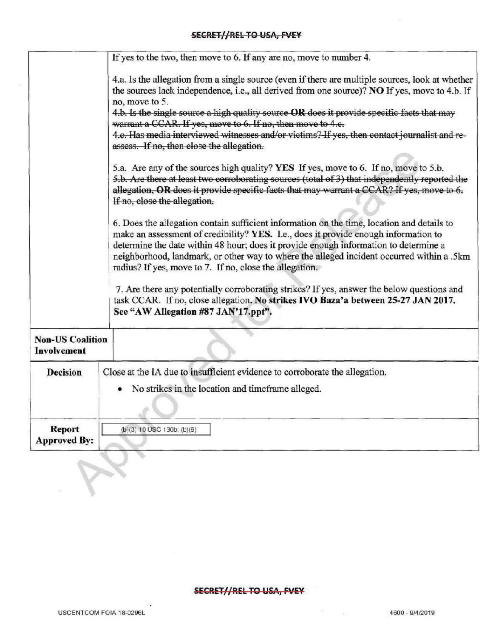|                                               | If yes to the two, then move to 6. If any are no, move to number 4.                                                                                                                                                                                                                                                                                                                                                                                                                                                                                                                                                                                                                                                                                                                                                                                  |  |
|-----------------------------------------------|------------------------------------------------------------------------------------------------------------------------------------------------------------------------------------------------------------------------------------------------------------------------------------------------------------------------------------------------------------------------------------------------------------------------------------------------------------------------------------------------------------------------------------------------------------------------------------------------------------------------------------------------------------------------------------------------------------------------------------------------------------------------------------------------------------------------------------------------------|--|
|                                               | 4.a. Is the allegation from a single source (even if there are multiple sources, look at whether<br>the sources lack independence, i.e., all derived from one source)? NO If yes, move to 4.b. If<br>no, move to 5.<br>4.b. Is the single source a high quality source OR does it provide specific facts that may<br>warrant a CCAR. If yes, move to 6. If no, then move to 4.c.<br>4.e. Has media interviewed witnesses and/or victims? If yes, then contact journalist and re-<br>assess. If no, then close the allegation.<br>5.a. Are any of the sources high quality? YES If yes, move to 6. If no, move to 5.b.<br>5.b. Are there at least two corroborating sources (total of 3) that independently reported the<br>allegation, OR does it provide specific facts that may warrant a CCAR? If yes, move to 6.<br>If no, close the allegation. |  |
|                                               | 6. Does the allegation contain sufficient information on the time, location and details to<br>make an assessment of credibility? YES. I.e., does it provide enough information to<br>determine the date within 48 hour; does it provide enough information to determine a<br>neighborhood, landmark, or other way to where the alleged incident occurred within a .5km<br>radius? If yes, move to 7. If no, close the allegation.<br>7. Are there any potentially corroborating strikes? If yes, answer the below questions and<br>task CCAR. If no, close allegation. No strikes IVO Baza'a between 25-27 JAN 2017.<br>See "AW Allegation #87 JAN'17.ppt".                                                                                                                                                                                          |  |
| <b>Non-US Coalition</b><br><b>Involvement</b> |                                                                                                                                                                                                                                                                                                                                                                                                                                                                                                                                                                                                                                                                                                                                                                                                                                                      |  |
| <b>Decision</b>                               | Close at the IA due to insufficient evidence to corroborate the allegation.<br>• No strikes in the location and timeframe alleged.                                                                                                                                                                                                                                                                                                                                                                                                                                                                                                                                                                                                                                                                                                                   |  |
| <b>Report</b><br><b>Approved By:</b>          | $(b)(3)$ 10 USC 130b; $(b)(5)$                                                                                                                                                                                                                                                                                                                                                                                                                                                                                                                                                                                                                                                                                                                                                                                                                       |  |

## SECRET//REL TO USA, FVEY

 $\asymp$